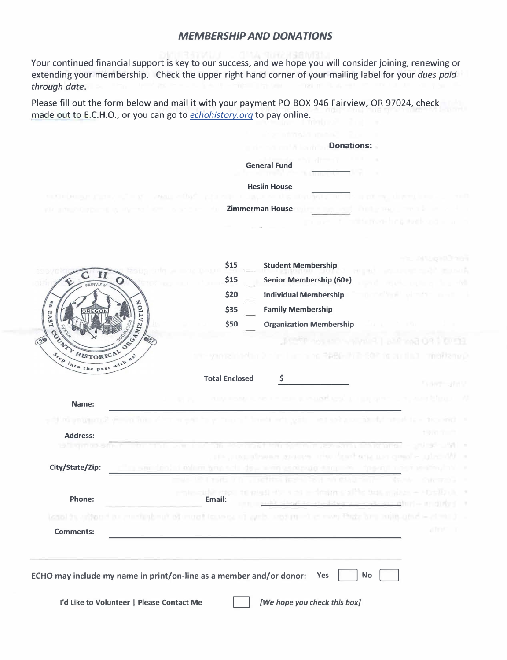#### *MEMBERSHIP AND DONATIONS*

Your continued financial support is key to our success, and we hope you will consider joining, renewing or extending your membership. Check the upper right hand corner of your mailing label for your *dues paid through date.* 

Please fill out the form below and mail it with your payment PO BOX 946 Fairview, OR 97024, check made out to E.C.H.O., or you can go to *echohistory.orq* to pay online.

|                                                             | <b>Donations:</b>                                                                                                                                                                  |
|-------------------------------------------------------------|------------------------------------------------------------------------------------------------------------------------------------------------------------------------------------|
|                                                             | <b>General Fund</b>                                                                                                                                                                |
|                                                             | <b>Heslin House</b>                                                                                                                                                                |
|                                                             | mediate agencies and a structure at but in the conservation above the construction of the construction of                                                                          |
| KU INDANISATI IN KU                                         | <b>Example 25 Zimmerman House</b><br><b>CONTRACTOR CONTRACTOR</b>                                                                                                                  |
|                                                             | mitte from him getreff condition in                                                                                                                                                |
|                                                             | 내게 지나부터 화재 개발을                                                                                                                                                                     |
| $\bf H$                                                     | <b>Student Membership</b><br>\$15<br><b>NUMBER</b>                                                                                                                                 |
| AIRVIEW                                                     | Senior Membership (60+)<br>\$15<br><b>REAL AND REAL PROPERTY</b>                                                                                                                   |
| $\frac{b}{L}$                                               | \$20<br><b>Individual Membership</b><br>an melinari samun melan                                                                                                                    |
| EAST                                                        | \$35<br><b>Family Membership</b>                                                                                                                                                   |
|                                                             | <b>Organization Membership</b><br>\$50                                                                                                                                             |
| OR RANZATION                                                |                                                                                                                                                                                    |
| ELINE HISTORICAL                                            | your side that I have been a real state of the SOP for such a moderation                                                                                                           |
| $s_{\epsilon_{\rho}}$ $\overline{a_{t_0}}$ the past<br>wlth |                                                                                                                                                                                    |
|                                                             | <b>Total Enclosed</b><br>Ş<br>TOWN JUNE                                                                                                                                            |
| Name:                                                       | a magaalay waxaad ayad ah aan garan is mu waxa istaaca in Af                                                                                                                       |
|                                                             |                                                                                                                                                                                    |
| s ill this program is grown in market to a grow             | ing the colour behind a structure of a structure and the colour of the first state of<br>1980.000                                                                                  |
| <b>Address:</b><br><b>B. Thermod &amp; from</b>             | ikarna mishtiri biridir - sinkingi shiki k                                                                                                                                         |
|                                                             | of Workershave and the Starbuck of the Assembly and the control of                                                                                                                 |
| City/State/Zip:                                             | i sem inslui Adman ban sit dev maan eskipulo fario 's ' Theang mass is Canyla)' f                                                                                                  |
|                                                             | -ALC UPS rangers - Faction (critical and different<br><b>GREETING</b> III                                                                                                          |
| Phone:                                                      | star a na medynanomalithe test, stakes with<br><b>MARINE AND A START AND RESERVE</b><br><b>ADMINISTRATION</b><br>Email:<br>shop is a matter and a second with a strike in the line |
|                                                             | teasi in mitor it communication of most leaves of and motivated was the organized – closed t                                                                                       |
| <b>Comments:</b>                                            | all Person                                                                                                                                                                         |
|                                                             |                                                                                                                                                                                    |
|                                                             |                                                                                                                                                                                    |
|                                                             | ECHO may include my name in print/on-line as a member and/or donor:<br><b>No</b><br>Yes                                                                                            |
| I'd Like to Volunteer   Please Contact Me                   | [We hope you check this box]                                                                                                                                                       |